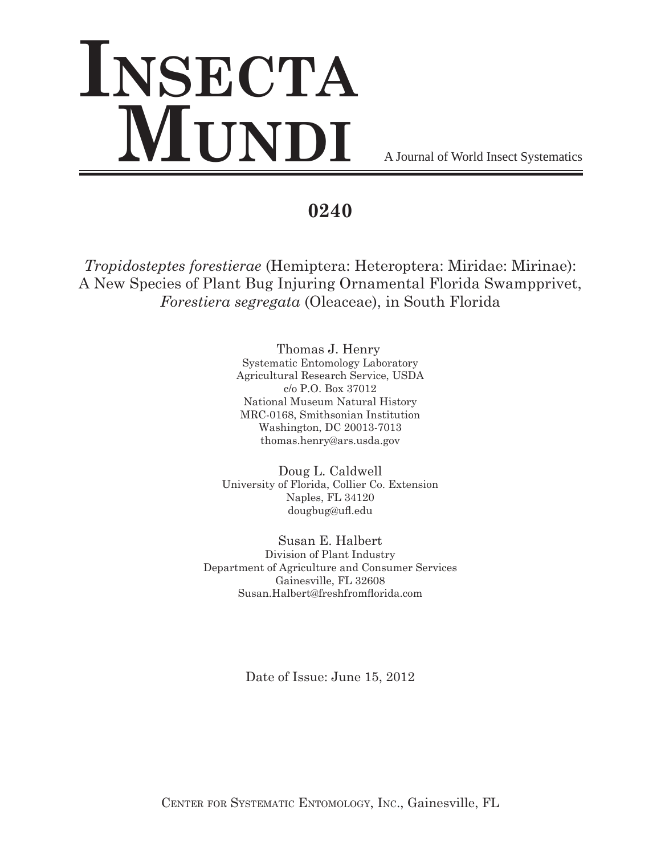# **Insecta MUNDI** A Journal of World Insect Systematics

**0240**

*Tropidosteptes forestierae* (Hemiptera: Heteroptera: Miridae: Mirinae): A New Species of Plant Bug Injuring Ornamental Florida Swampprivet, *Forestiera segregata* (Oleaceae), in South Florida

> Thomas J. Henry Systematic Entomology Laboratory Agricultural Research Service, USDA c/o P.O. Box 37012 National Museum Natural History MRC-0168, Smithsonian Institution Washington, DC 20013-7013 thomas.henry@ars.usda.gov

Doug L. Caldwell University of Florida, Collier Co. Extension Naples, FL 34120 dougbug@ufl.edu

Susan E. Halbert Division of Plant Industry Department of Agriculture and Consumer Services Gainesville, FL 32608 Susan.Halbert@freshfromflorida.com

Date of Issue: June 15, 2012

Center for Systematic Entomology, Inc., Gainesville, FL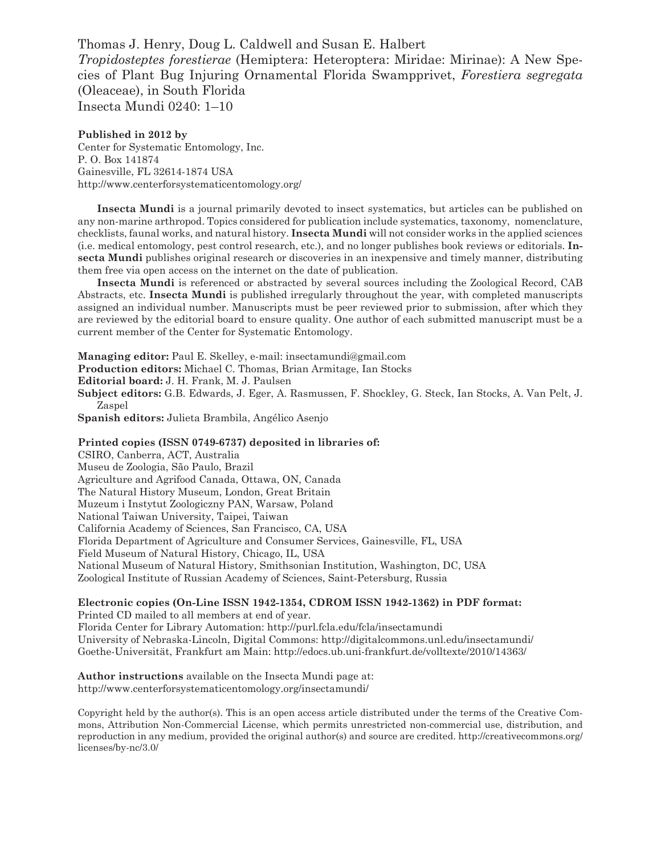Thomas J. Henry, Doug L. Caldwell and Susan E. Halbert *Tropidosteptes forestierae* (Hemiptera: Heteroptera: Miridae: Mirinae): A New Species of Plant Bug Injuring Ornamental Florida Swampprivet, *Forestiera segregata* (Oleaceae), in South Florida

Insecta Mundi 0240: 1–10

## **Published in 2012 by**

Center for Systematic Entomology, Inc. P. O. Box 141874 Gainesville, FL 32614-1874 USA http://www.centerforsystematicentomology.org/

**Insecta Mundi** is a journal primarily devoted to insect systematics, but articles can be published on any non-marine arthropod. Topics considered for publication include systematics, taxonomy, nomenclature, checklists, faunal works, and natural history. **Insecta Mundi** will not consider works in the applied sciences (i.e. medical entomology, pest control research, etc.), and no longer publishes book reviews or editorials. **Insecta Mundi** publishes original research or discoveries in an inexpensive and timely manner, distributing them free via open access on the internet on the date of publication.

**Insecta Mundi** is referenced or abstracted by several sources including the Zoological Record, CAB Abstracts, etc. **Insecta Mundi** is published irregularly throughout the year, with completed manuscripts assigned an individual number. Manuscripts must be peer reviewed prior to submission, after which they are reviewed by the editorial board to ensure quality. One author of each submitted manuscript must be a current member of the Center for Systematic Entomology.

**Managing editor:** Paul E. Skelley, e-mail: insectamundi@gmail.com

**Production editors:** Michael C. Thomas, Brian Armitage, Ian Stocks

**Editorial board:** J. H. Frank, M. J. Paulsen

**Subject editors:** G.B. Edwards, J. Eger, A. Rasmussen, F. Shockley, G. Steck, Ian Stocks, A. Van Pelt, J. Zaspel

**Spanish editors:** Julieta Brambila, Angélico Asenjo

### **Printed copies (ISSN 0749-6737) deposited in libraries of:**

CSIRO, Canberra, ACT, Australia Museu de Zoologia, São Paulo, Brazil Agriculture and Agrifood Canada, Ottawa, ON, Canada The Natural History Museum, London, Great Britain Muzeum i Instytut Zoologiczny PAN, Warsaw, Poland National Taiwan University, Taipei, Taiwan California Academy of Sciences, San Francisco, CA, USA Florida Department of Agriculture and Consumer Services, Gainesville, FL, USA Field Museum of Natural History, Chicago, IL, USA National Museum of Natural History, Smithsonian Institution, Washington, DC, USA Zoological Institute of Russian Academy of Sciences, Saint-Petersburg, Russia

# **Electronic copies (On-Line ISSN 1942-1354, CDROM ISSN 1942-1362) in PDF format:**

Printed CD mailed to all members at end of year. Florida Center for Library Automation: http://purl.fcla.edu/fcla/insectamundi University of Nebraska-Lincoln, Digital Commons: http://digitalcommons.unl.edu/insectamundi/ Goethe-Universität, Frankfurt am Main: http://edocs.ub.uni-frankfurt.de/volltexte/2010/14363/

## **Author instructions** available on the Insecta Mundi page at: http://www.centerforsystematicentomology.org/insectamundi/

Copyright held by the author(s). This is an open access article distributed under the terms of the Creative Commons, Attribution Non-Commercial License, which permits unrestricted non-commercial use, distribution, and reproduction in any medium, provided the original author(s) and source are credited. http://creativecommons.org/ licenses/by-nc/3.0/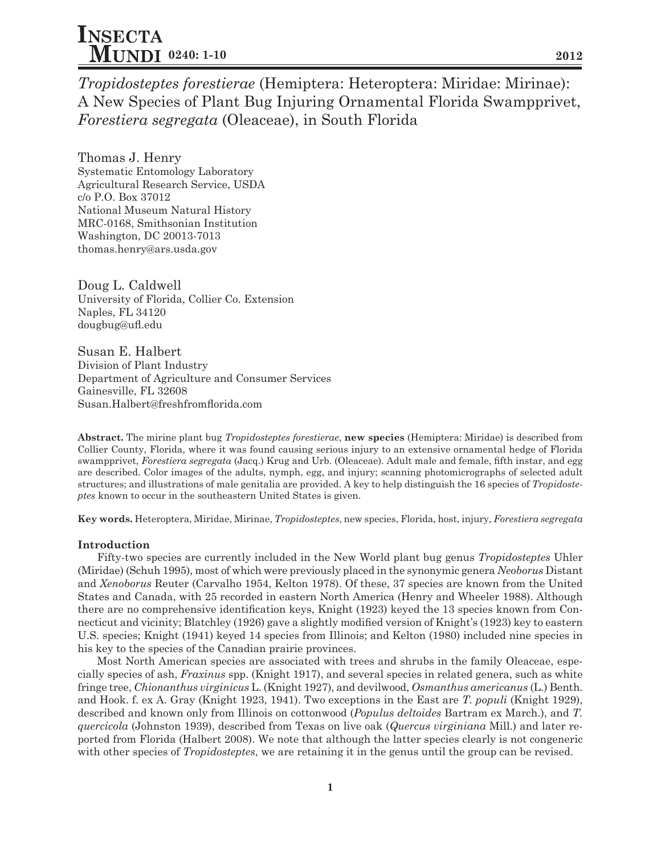*Tropidosteptes forestierae* (Hemiptera: Heteroptera: Miridae: Mirinae): A New Species of Plant Bug Injuring Ornamental Florida Swampprivet, *Forestiera segregata* (Oleaceae), in South Florida

Thomas J. Henry Systematic Entomology Laboratory Agricultural Research Service, USDA c/o P.O. Box 37012 National Museum Natural History MRC-0168, Smithsonian Institution Washington, DC 20013-7013 thomas.henry@ars.usda.gov

Doug L. Caldwell University of Florida, Collier Co. Extension Naples, FL 34120 dougbug@ufl.edu

Susan E. Halbert Division of Plant Industry Department of Agriculture and Consumer Services Gainesville, FL 32608 Susan.Halbert@freshfromflorida.com

**Abstract.** The mirine plant bug *Tropidosteptes forestierae*, **new species** (Hemiptera: Miridae) is described from Collier County, Florida, where it was found causing serious injury to an extensive ornamental hedge of Florida swampprivet, *Forestiera segregata* (Jacq.) Krug and Urb. (Oleaceae). Adult male and female, fifth instar, and egg are described. Color images of the adults, nymph, egg, and injury; scanning photomicrographs of selected adult structures; and illustrations of male genitalia are provided. A key to help distinguish the 16 species of *Tropidosteptes* known to occur in the southeastern United States is given.

**Key words.** Heteroptera, Miridae, Mirinae, *Tropidosteptes*, new species, Florida, host, injury, *Forestiera segregata*

## **Introduction**

Fifty-two species are currently included in the New World plant bug genus *Tropidosteptes* Uhler (Miridae) (Schuh 1995), most of which were previously placed in the synonymic genera *Neoborus* Distant and *Xenoborus* Reuter (Carvalho 1954, Kelton 1978). Of these, 37 species are known from the United States and Canada, with 25 recorded in eastern North America (Henry and Wheeler 1988). Although there are no comprehensive identification keys, Knight (1923) keyed the 13 species known from Connecticut and vicinity; Blatchley (1926) gave a slightly modified version of Knight's (1923) key to eastern U.S. species; Knight (1941) keyed 14 species from Illinois; and Kelton (1980) included nine species in his key to the species of the Canadian prairie provinces.

Most North American species are associated with trees and shrubs in the family Oleaceae, especially species of ash, *Fraxinus* spp. (Knight 1917), and several species in related genera, such as white fringe tree, *Chionanthus virginicus* L. (Knight 1927), and devilwood, *Osmanthus americanus* (L.) Benth. and Hook. f. ex A. Gray (Knight 1923, 1941). Two exceptions in the East are *T. populi* (Knight 1929), described and known only from Illinois on cottonwood (*Populus deltoides* Bartram ex March.), and *T. quercicola* (Johnston 1939), described from Texas on live oak (*Quercus virginiana* Mill.) and later reported from Florida (Halbert 2008). We note that although the latter species clearly is not congeneric with other species of *Tropidosteptes*, we are retaining it in the genus until the group can be revised.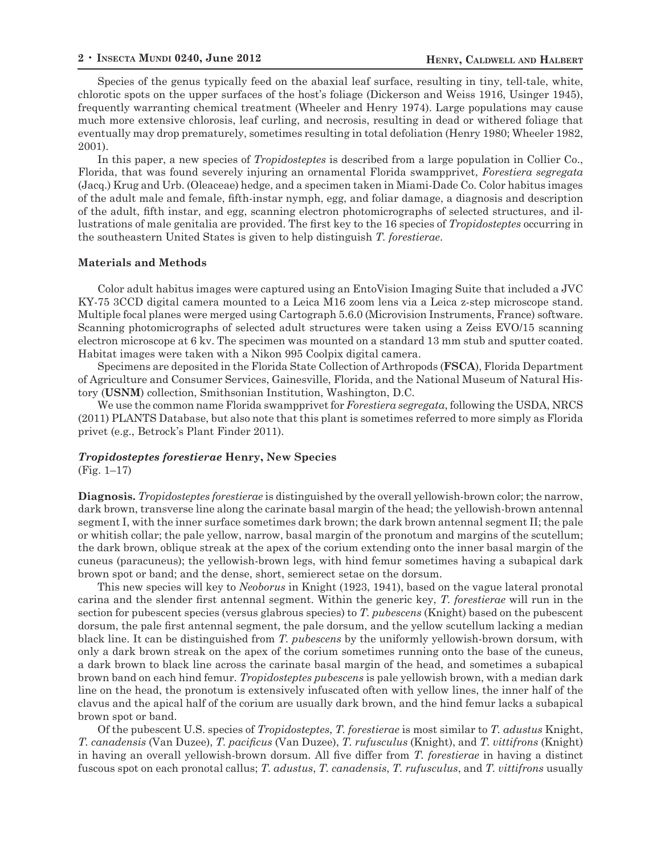Species of the genus typically feed on the abaxial leaf surface, resulting in tiny, tell-tale, white, chlorotic spots on the upper surfaces of the host's foliage (Dickerson and Weiss 1916, Usinger 1945), frequently warranting chemical treatment (Wheeler and Henry 1974). Large populations may cause much more extensive chlorosis, leaf curling, and necrosis, resulting in dead or withered foliage that eventually may drop prematurely, sometimes resulting in total defoliation (Henry 1980; Wheeler 1982, 2001).

In this paper, a new species of *Tropidosteptes* is described from a large population in Collier Co., Florida, that was found severely injuring an ornamental Florida swampprivet, *Forestiera segregata* (Jacq.) Krug and Urb. (Oleaceae) hedge, and a specimen taken in Miami-Dade Co. Color habitus images of the adult male and female, fifth-instar nymph, egg, and foliar damage, a diagnosis and description of the adult, fifth instar, and egg, scanning electron photomicrographs of selected structures, and illustrations of male genitalia are provided. The first key to the 16 species of *Tropidosteptes* occurring in the southeastern United States is given to help distinguish *T. forestierae*.

#### **Materials and Methods**

Color adult habitus images were captured using an EntoVision Imaging Suite that included a JVC KY-75 3CCD digital camera mounted to a Leica M16 zoom lens via a Leica z-step microscope stand. Multiple focal planes were merged using Cartograph 5.6.0 (Microvision Instruments, France) software. Scanning photomicrographs of selected adult structures were taken using a Zeiss EVO/15 scanning electron microscope at 6 kv. The specimen was mounted on a standard 13 mm stub and sputter coated. Habitat images were taken with a Nikon 995 Coolpix digital camera.

Specimens are deposited in the Florida State Collection of Arthropods (**FSCA**), Florida Department of Agriculture and Consumer Services, Gainesville, Florida, and the National Museum of Natural History (**USNM**) collection, Smithsonian Institution, Washington, D.C.

We use the common name Florida swampprivet for *Forestiera segregata*, following the USDA, NRCS (2011) PLANTS Database, but also note that this plant is sometimes referred to more simply as Florida privet (e.g., Betrock's Plant Finder 2011).

## *Tropidosteptes forestierae* **Henry, New Species**

(Fig. 1–17)

**Diagnosis.** *Tropidosteptes forestierae* is distinguished by the overall yellowish-brown color; the narrow, dark brown, transverse line along the carinate basal margin of the head; the yellowish-brown antennal segment I, with the inner surface sometimes dark brown; the dark brown antennal segment II; the pale or whitish collar; the pale yellow, narrow, basal margin of the pronotum and margins of the scutellum; the dark brown, oblique streak at the apex of the corium extending onto the inner basal margin of the cuneus (paracuneus); the yellowish-brown legs, with hind femur sometimes having a subapical dark brown spot or band; and the dense, short, semierect setae on the dorsum.

This new species will key to *Neoborus* in Knight (1923, 1941), based on the vague lateral pronotal carina and the slender first antennal segment. Within the generic key, *T. forestierae* will run in the section for pubescent species (versus glabrous species) to *T. pubescens* (Knight) based on the pubescent dorsum, the pale first antennal segment, the pale dorsum, and the yellow scutellum lacking a median black line. It can be distinguished from *T. pubescens* by the uniformly yellowish-brown dorsum, with only a dark brown streak on the apex of the corium sometimes running onto the base of the cuneus, a dark brown to black line across the carinate basal margin of the head, and sometimes a subapical brown band on each hind femur. *Tropidosteptes pubescens* is pale yellowish brown, with a median dark line on the head, the pronotum is extensively infuscated often with yellow lines, the inner half of the clavus and the apical half of the corium are usually dark brown, and the hind femur lacks a subapical brown spot or band.

Of the pubescent U.S. species of *Tropidosteptes*, *T. forestierae* is most similar to *T. adustus* Knight, *T. canadensis* (Van Duzee), *T. pacificus* (Van Duzee), *T. rufusculus* (Knight), and *T. vittifrons* (Knight) in having an overall yellowish-brown dorsum. All five differ from *T. forestierae* in having a distinct fuscous spot on each pronotal callus; *T. adustus*, *T. canadensis*, *T. rufusculus*, and *T. vittifrons* usually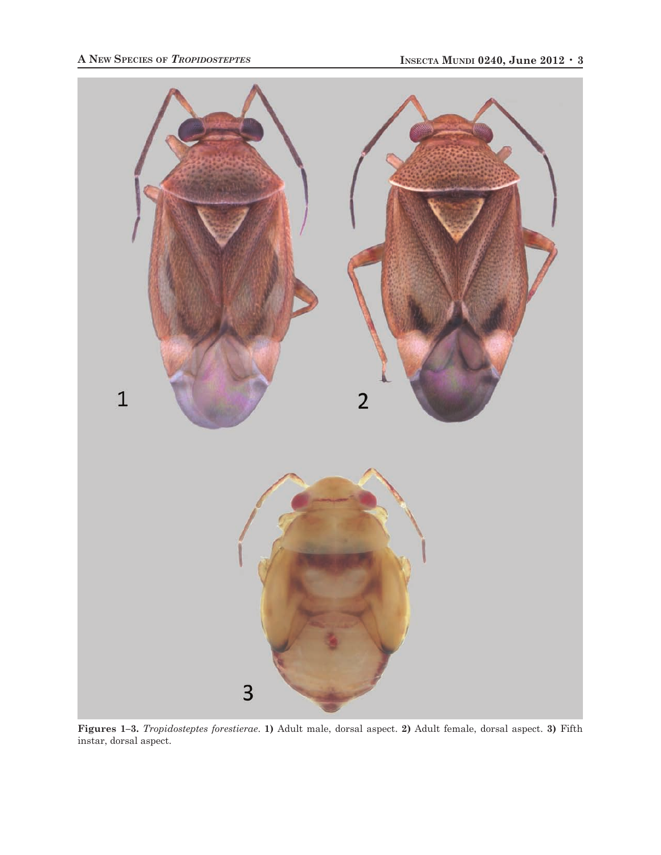

**Figures 1–3.** *Tropidosteptes forestierae*. **1)** Adult male, dorsal aspect. **2)** Adult female, dorsal aspect. **3)** Fifth instar, dorsal aspect.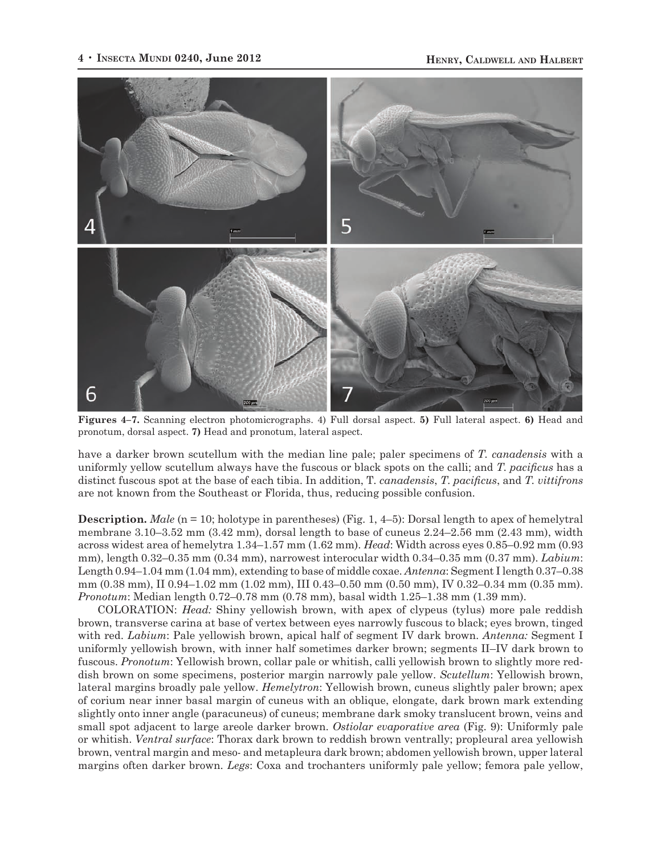

**Figures 4–7.** Scanning electron photomicrographs. 4) Full dorsal aspect. **5)** Full lateral aspect. **6)** Head and pronotum, dorsal aspect. **7)** Head and pronotum, lateral aspect.

have a darker brown scutellum with the median line pale; paler specimens of *T. canadensis* with a uniformly yellow scutellum always have the fuscous or black spots on the calli; and *T. pacificus* has a distinct fuscous spot at the base of each tibia. In addition, T*. canadensis*, *T. pacificus*, and *T. vittifrons* are not known from the Southeast or Florida, thus, reducing possible confusion.

**Description.** *Male* (n = 10; holotype in parentheses) (Fig. 1, 4–5): Dorsal length to apex of hemelytral membrane 3.10–3.52 mm (3.42 mm), dorsal length to base of cuneus 2.24–2.56 mm (2.43 mm), width across widest area of hemelytra 1.34–1.57 mm (1.62 mm). *Head*: Width across eyes 0.85–0.92 mm (0.93 mm), length 0.32–0.35 mm (0.34 mm), narrowest interocular width 0.34–0.35 mm (0.37 mm). *Labium*: Length 0.94–1.04 mm (1.04 mm), extending to base of middle coxae. *Antenna*: Segment I length 0.37–0.38 mm (0.38 mm), II 0.94–1.02 mm (1.02 mm), III 0.43–0.50 mm (0.50 mm), IV 0.32–0.34 mm (0.35 mm). *Pronotum*: Median length 0.72–0.78 mm (0.78 mm), basal width 1.25–1.38 mm (1.39 mm).

COLORATION: *Head:* Shiny yellowish brown, with apex of clypeus (tylus) more pale reddish brown, transverse carina at base of vertex between eyes narrowly fuscous to black; eyes brown, tinged with red. *Labium*: Pale yellowish brown, apical half of segment IV dark brown. *Antenna:* Segment I uniformly yellowish brown, with inner half sometimes darker brown; segments II–IV dark brown to fuscous. *Pronotum*: Yellowish brown, collar pale or whitish, calli yellowish brown to slightly more reddish brown on some specimens, posterior margin narrowly pale yellow. *Scutellum*: Yellowish brown, lateral margins broadly pale yellow. *Hemelytron*: Yellowish brown, cuneus slightly paler brown; apex of corium near inner basal margin of cuneus with an oblique, elongate, dark brown mark extending slightly onto inner angle (paracuneus) of cuneus; membrane dark smoky translucent brown, veins and small spot adjacent to large areole darker brown. *Ostiolar evaporative area* (Fig. 9): Uniformly pale or whitish. *Ventral surface*: Thorax dark brown to reddish brown ventrally; propleural area yellowish brown, ventral margin and meso- and metapleura dark brown; abdomen yellowish brown, upper lateral margins often darker brown. *Legs*: Coxa and trochanters uniformly pale yellow; femora pale yellow,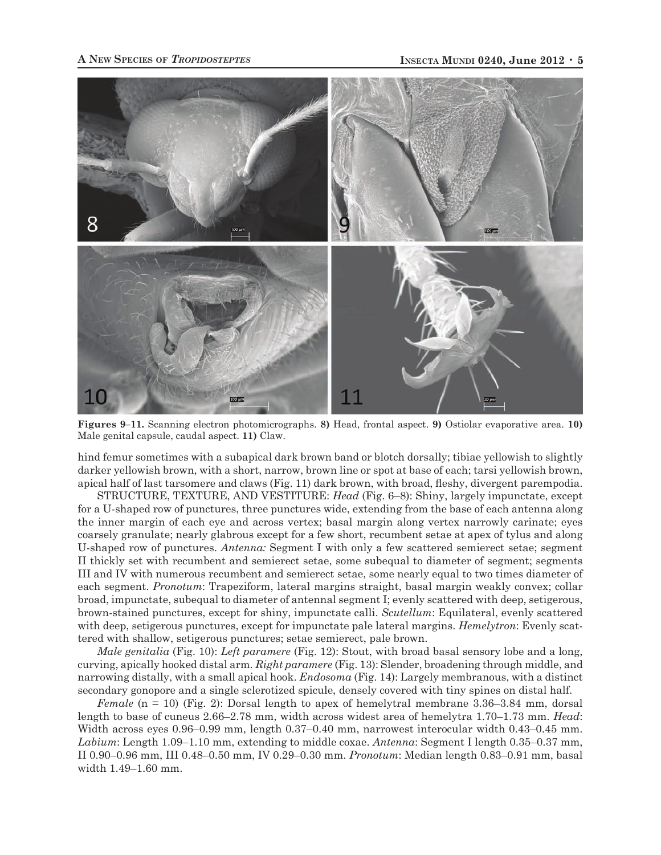

**Figures 9–11.** Scanning electron photomicrographs. **8)** Head, frontal aspect. **9)** Ostiolar evaporative area. **10)**  Male genital capsule, caudal aspect. **11)** Claw.

hind femur sometimes with a subapical dark brown band or blotch dorsally; tibiae yellowish to slightly darker yellowish brown, with a short, narrow, brown line or spot at base of each; tarsi yellowish brown, apical half of last tarsomere and claws (Fig. 11) dark brown, with broad, fleshy, divergent parempodia.

STRUCTURE, TEXTURE, AND VESTITURE: *Head* (Fig. 6–8): Shiny, largely impunctate, except for a U-shaped row of punctures, three punctures wide, extending from the base of each antenna along the inner margin of each eye and across vertex; basal margin along vertex narrowly carinate; eyes coarsely granulate; nearly glabrous except for a few short, recumbent setae at apex of tylus and along U-shaped row of punctures. *Antenna:* Segment I with only a few scattered semierect setae; segment II thickly set with recumbent and semierect setae, some subequal to diameter of segment; segments III and IV with numerous recumbent and semierect setae, some nearly equal to two times diameter of each segment. *Pronotum*: Trapeziform, lateral margins straight, basal margin weakly convex; collar broad, impunctate, subequal to diameter of antennal segment I; evenly scattered with deep, setigerous, brown-stained punctures, except for shiny, impunctate calli. *Scutellum*: Equilateral, evenly scattered with deep, setigerous punctures, except for impunctate pale lateral margins. *Hemelytron*: Evenly scattered with shallow, setigerous punctures; setae semierect, pale brown.

*Male genitalia* (Fig. 10): *Left paramere* (Fig. 12): Stout, with broad basal sensory lobe and a long, curving, apically hooked distal arm. *Right paramere* (Fig. 13): Slender, broadening through middle, and narrowing distally, with a small apical hook. *Endosoma* (Fig. 14): Largely membranous, with a distinct secondary gonopore and a single sclerotized spicule, densely covered with tiny spines on distal half.

*Female* (n = 10) (Fig. 2): Dorsal length to apex of hemelytral membrane 3.36–3.84 mm, dorsal length to base of cuneus 2.66–2.78 mm, width across widest area of hemelytra 1.70–1.73 mm. *Head*: Width across eyes 0.96–0.99 mm, length 0.37–0.40 mm, narrowest interocular width 0.43–0.45 mm. *Labium*: Length 1.09–1.10 mm, extending to middle coxae. *Antenna*: Segment I length 0.35–0.37 mm, II 0.90–0.96 mm, III 0.48–0.50 mm, IV 0.29–0.30 mm. *Pronotum*: Median length 0.83–0.91 mm, basal width 1.49–1.60 mm.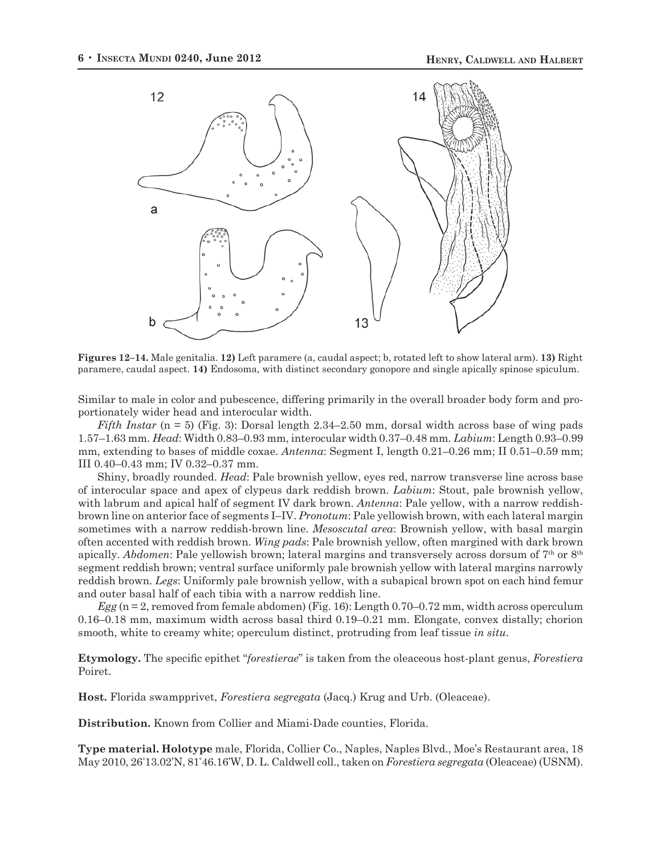

**Figures 12–14.** Male genitalia. **12)** Left paramere (a, caudal aspect; b, rotated left to show lateral arm). **13)** Right paramere, caudal aspect. **14)** Endosoma, with distinct secondary gonopore and single apically spinose spiculum.

Similar to male in color and pubescence, differing primarily in the overall broader body form and proportionately wider head and interocular width.

*Fifth Instar* (n = 5) (Fig. 3): Dorsal length 2.34–2.50 mm, dorsal width across base of wing pads 1.57–1.63 mm. *Head*: Width 0.83–0.93 mm, interocular width 0.37–0.48 mm. *Labium*: Length 0.93–0.99 mm, extending to bases of middle coxae. *Antenna*: Segment I, length 0.21–0.26 mm; II 0.51–0.59 mm; III 0.40–0.43 mm; IV 0.32–0.37 mm.

Shiny, broadly rounded. *Head*: Pale brownish yellow, eyes red, narrow transverse line across base of interocular space and apex of clypeus dark reddish brown. *Labium*: Stout, pale brownish yellow, with labrum and apical half of segment IV dark brown. *Antenna*: Pale yellow, with a narrow reddishbrown line on anterior face of segments I–IV. *Pronotum*: Pale yellowish brown, with each lateral margin sometimes with a narrow reddish-brown line. *Mesoscutal area*: Brownish yellow, with basal margin often accented with reddish brown. *Wing pads*: Pale brownish yellow, often margined with dark brown apically. *Abdomen*: Pale yellowish brown; lateral margins and transversely across dorsum of 7<sup>th</sup> or 8<sup>th</sup> segment reddish brown; ventral surface uniformly pale brownish yellow with lateral margins narrowly reddish brown. *Legs*: Uniformly pale brownish yellow, with a subapical brown spot on each hind femur and outer basal half of each tibia with a narrow reddish line.

*Egg* (n = 2, removed from female abdomen) (Fig. 16): Length 0.70–0.72 mm, width across operculum 0.16–0.18 mm, maximum width across basal third 0.19–0.21 mm. Elongate, convex distally; chorion smooth, white to creamy white; operculum distinct, protruding from leaf tissue *in situ*.

**Etymology.** The specific epithet "*forestierae*" is taken from the oleaceous host-plant genus, *Forestiera* Poiret.

**Host.** Florida swampprivet, *Forestiera segregata* (Jacq.) Krug and Urb. (Oleaceae).

**Distribution.** Known from Collier and Miami-Dade counties, Florida.

**Type material. Holotype** male, Florida, Collier Co., Naples, Naples Blvd., Moe's Restaurant area, 18 May 2010, 26° 13.02'N, 81° 46.16'W, D. L. Caldwell coll., taken on *Forestiera segregata* (Oleaceae) (USNM).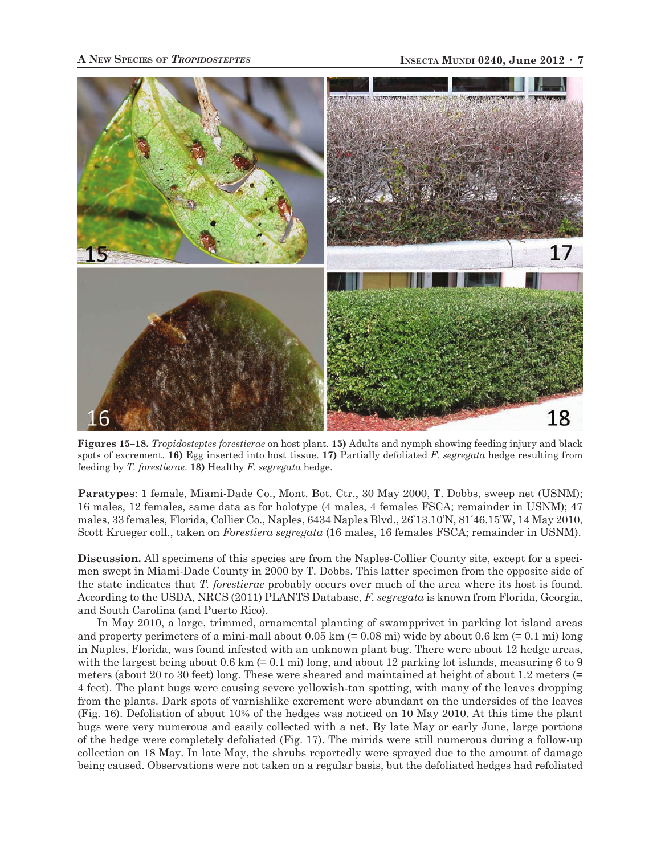

**Figures 15–18.** *Tropidosteptes forestierae* on host plant. **15)** Adults and nymph showing feeding injury and black spots of excrement. **16)** Egg inserted into host tissue. **17)** Partially defoliated *F. segregata* hedge resulting from feeding by *T. forestierae*. **18)** Healthy *F. segregata* hedge.

**Paratypes**: 1 female, Miami-Dade Co., Mont. Bot. Ctr., 30 May 2000, T. Dobbs, sweep net (USNM); 16 males, 12 females, same data as for holotype (4 males, 4 females FSCA; remainder in USNM); 47 males, 33 females, Florida, Collier Co., Naples, 6434 Naples Blvd., 26° 13.10'N, 81° 46.15'W, 14 May 2010, Scott Krueger coll., taken on *Forestiera segregata* (16 males, 16 females FSCA; remainder in USNM).

**Discussion.** All specimens of this species are from the Naples-Collier County site, except for a specimen swept in Miami-Dade County in 2000 by T. Dobbs. This latter specimen from the opposite side of the state indicates that *T. forestierae* probably occurs over much of the area where its host is found. According to the USDA, NRCS (2011) PLANTS Database, *F. segregata* is known from Florida, Georgia, and South Carolina (and Puerto Rico).

In May 2010, a large, trimmed, ornamental planting of swampprivet in parking lot island areas and property perimeters of a mini-mall about  $0.05 \text{ km} (= 0.08 \text{ mi})$  wide by about  $0.6 \text{ km} (= 0.1 \text{ mi})$  long in Naples, Florida, was found infested with an unknown plant bug. There were about 12 hedge areas, with the largest being about 0.6 km  $(= 0.1 \text{ mi})$  long, and about 12 parking lot islands, measuring 6 to 9 meters (about 20 to 30 feet) long. These were sheared and maintained at height of about 1.2 meters (= 4 feet). The plant bugs were causing severe yellowish-tan spotting, with many of the leaves dropping from the plants. Dark spots of varnishlike excrement were abundant on the undersides of the leaves (Fig. 16). Defoliation of about 10% of the hedges was noticed on 10 May 2010. At this time the plant bugs were very numerous and easily collected with a net. By late May or early June, large portions of the hedge were completely defoliated (Fig. 17). The mirids were still numerous during a follow-up collection on 18 May. In late May, the shrubs reportedly were sprayed due to the amount of damage being caused. Observations were not taken on a regular basis, but the defoliated hedges had refoliated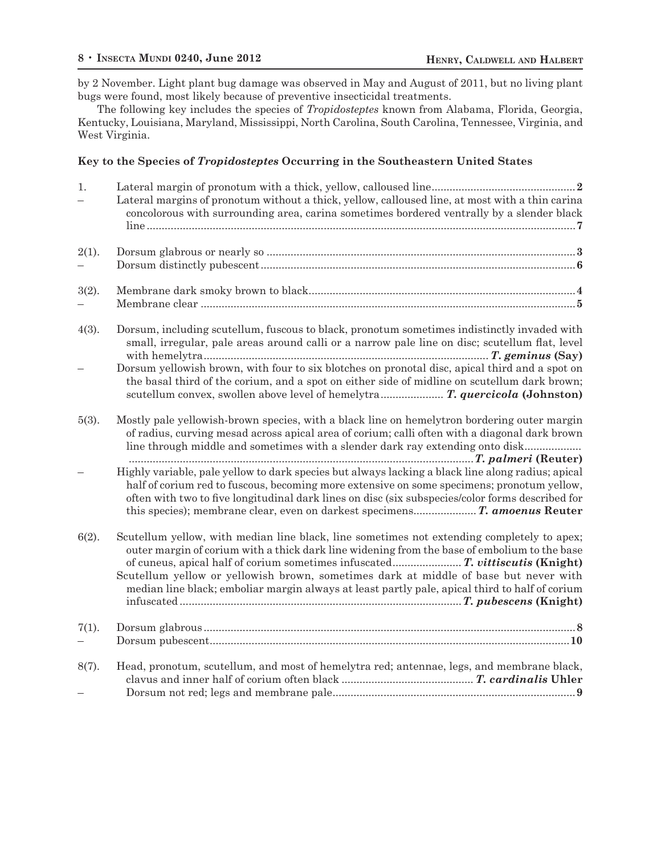by 2 November. Light plant bug damage was observed in May and August of 2011, but no living plant bugs were found, most likely because of preventive insecticidal treatments.

The following key includes the species of *Tropidosteptes* known from Alabama, Florida, Georgia, Kentucky, Louisiana, Maryland, Mississippi, North Carolina, South Carolina, Tennessee, Virginia, and West Virginia.

# **Key to the Species of** *Tropidosteptes* **Occurring in the Southeastern United States**

| 1.       | Lateral margins of pronotum without a thick, yellow, calloused line, at most with a thin carina                                                                                                                                                                                                                                                                                      |
|----------|--------------------------------------------------------------------------------------------------------------------------------------------------------------------------------------------------------------------------------------------------------------------------------------------------------------------------------------------------------------------------------------|
|          | concolorous with surrounding area, carina sometimes bordered ventrally by a slender black                                                                                                                                                                                                                                                                                            |
| $2(1)$ . |                                                                                                                                                                                                                                                                                                                                                                                      |
| 3(2).    |                                                                                                                                                                                                                                                                                                                                                                                      |
| 4(3).    | Dorsum, including scutellum, fuscous to black, pronotum sometimes indistinctly invaded with<br>small, irregular, pale areas around calli or a narrow pale line on disc; scutellum flat, level                                                                                                                                                                                        |
|          | Dorsum yellowish brown, with four to six blotches on pronotal disc, apical third and a spot on<br>the basal third of the corium, and a spot on either side of midline on scutellum dark brown;<br>scutellum convex, swollen above level of hemelytra T. quercicola (Johnston)                                                                                                        |
| $5(3)$ . | Mostly pale yellowish-brown species, with a black line on hemelytron bordering outer margin<br>of radius, curving mesad across apical area of corium; calli often with a diagonal dark brown<br>line through middle and sometimes with a slender dark ray extending onto disk                                                                                                        |
|          | Highly variable, pale yellow to dark species but always lacking a black line along radius; apical<br>half of corium red to fuscous, becoming more extensive on some specimens; pronotum yellow,<br>often with two to five longitudinal dark lines on disc (six subspecies/color forms described for<br>this species); membrane clear, even on darkest specimens T. amoenus Reuter    |
| 6(2).    | Scutellum yellow, with median line black, line sometimes not extending completely to apex;<br>outer margin of corium with a thick dark line widening from the base of embolium to the base<br>Scutellum yellow or yellowish brown, sometimes dark at middle of base but never with<br>median line black; emboliar margin always at least partly pale, apical third to half of corium |
| 7(1).    |                                                                                                                                                                                                                                                                                                                                                                                      |
| 8(7).    | Head, pronotum, scutellum, and most of hemelytra red; antennae, legs, and membrane black,                                                                                                                                                                                                                                                                                            |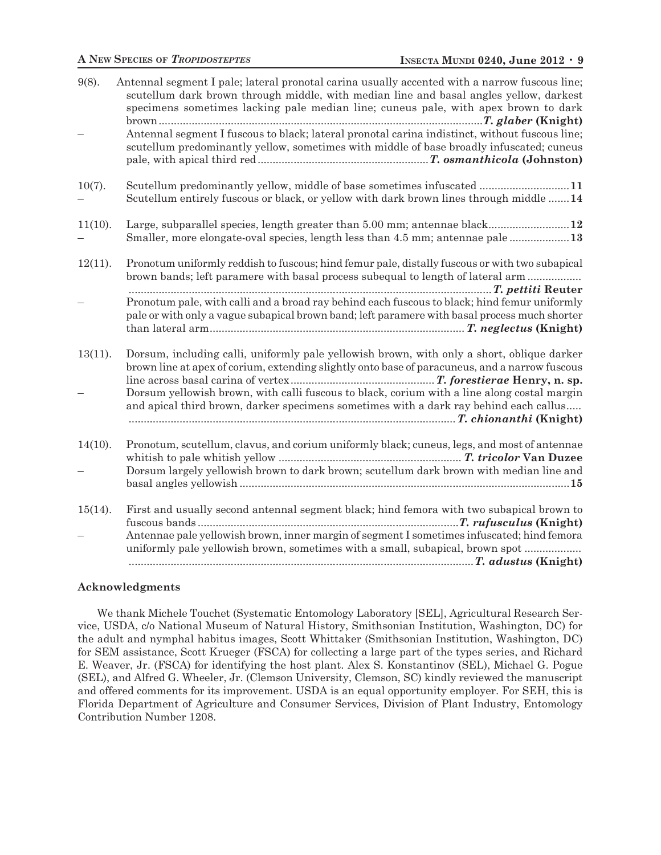| 9(8).      | Antennal segment I pale; lateral pronotal carina usually accented with a narrow fuscous line;<br>scutellum dark brown through middle, with median line and basal angles yellow, darkest<br>specimens sometimes lacking pale median line; cuneus pale, with apex brown to dark |
|------------|-------------------------------------------------------------------------------------------------------------------------------------------------------------------------------------------------------------------------------------------------------------------------------|
|            | Antennal segment I fuscous to black; lateral pronotal carina indistinct, without fuscous line;<br>scutellum predominantly yellow, sometimes with middle of base broadly infuscated; cuneus                                                                                    |
| $10(7)$ .  | Scutellum predominantly yellow, middle of base sometimes infuscated 11<br>Scutellum entirely fuscous or black, or yellow with dark brown lines through middle  14                                                                                                             |
| $11(10)$ . | Large, subparallel species, length greater than 5.00 mm; antennae black 12<br>Smaller, more elongate-oval species, length less than 4.5 mm; antennae pale 13                                                                                                                  |
| $12(11)$ . | Pronotum uniformly reddish to fuscous; hind femur pale, distally fuscous or with two subapical<br>brown bands; left paramere with basal process subequal to length of lateral arm                                                                                             |
|            | Pronotum pale, with calli and a broad ray behind each fuscous to black; hind femur uniformly<br>pale or with only a vague subapical brown band; left paramere with basal process much shorter                                                                                 |
| 13(11).    | Dorsum, including calli, uniformly pale yellowish brown, with only a short, oblique darker<br>brown line at apex of corium, extending slightly onto base of paracuneus, and a narrow fuscous                                                                                  |
|            | Dorsum yellowish brown, with calli fuscous to black, corium with a line along costal margin<br>and apical third brown, darker specimens sometimes with a dark ray behind each callus                                                                                          |
| $14(10)$ . | Pronotum, scutellum, clavus, and corium uniformly black; cuneus, legs, and most of antennae                                                                                                                                                                                   |
|            | Dorsum largely yellowish brown to dark brown; scutellum dark brown with median line and                                                                                                                                                                                       |
| $15(14)$ . | First and usually second antennal segment black; hind femora with two subapical brown to                                                                                                                                                                                      |
|            | Antennae pale yellowish brown, inner margin of segment I sometimes infuscated; hind femora<br>uniformly pale yellowish brown, sometimes with a small, subapical, brown spot                                                                                                   |

# **Acknowledgments**

We thank Michele Touchet (Systematic Entomology Laboratory [SEL], Agricultural Research Service, USDA, c/o National Museum of Natural History, Smithsonian Institution, Washington, DC) for the adult and nymphal habitus images, Scott Whittaker (Smithsonian Institution, Washington, DC) for SEM assistance, Scott Krueger (FSCA) for collecting a large part of the types series, and Richard E. Weaver, Jr. (FSCA) for identifying the host plant. Alex S. Konstantinov (SEL), Michael G. Pogue (SEL), and Alfred G. Wheeler, Jr. (Clemson University, Clemson, SC) kindly reviewed the manuscript and offered comments for its improvement. USDA is an equal opportunity employer. For SEH, this is Florida Department of Agriculture and Consumer Services, Division of Plant Industry, Entomology Contribution Number 1208.